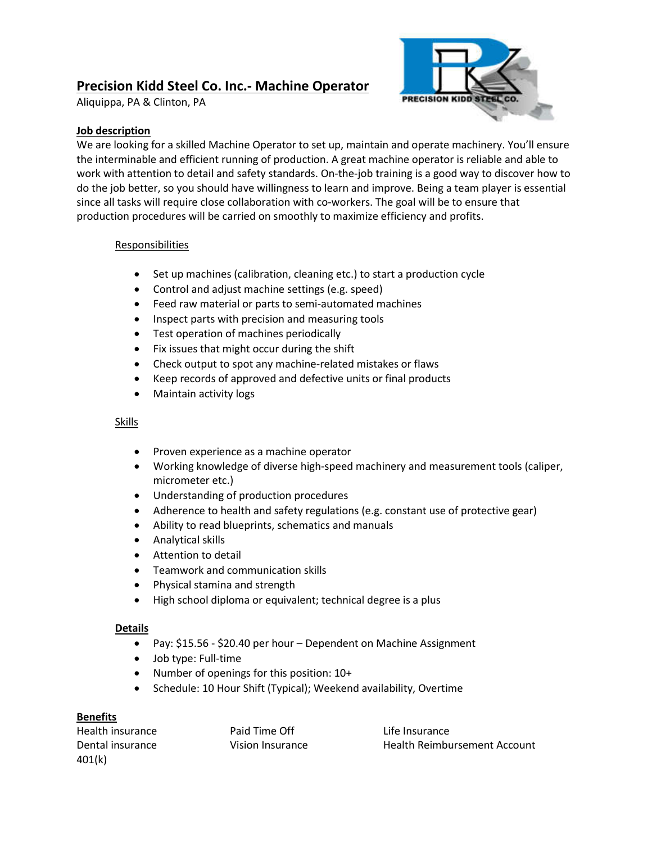# **Precision Kidd Steel Co. Inc.- Machine Operator**

Aliquippa, PA & Clinton, PA



## **Job description**

We are looking for a skilled Machine Operator to set up, maintain and operate machinery. You'll ensure the interminable and efficient running of production. A great machine operator is reliable and able to work with attention to detail and safety standards. On-the-job training is a good way to discover how to do the job better, so you should have willingness to learn and improve. Being a team player is essential since all tasks will require close collaboration with co-workers. The goal will be to ensure that production procedures will be carried on smoothly to maximize efficiency and profits.

## **Responsibilities**

- Set up machines (calibration, cleaning etc.) to start a production cycle
- Control and adjust machine settings (e.g. speed)
- Feed raw material or parts to semi-automated machines
- Inspect parts with precision and measuring tools
- Test operation of machines periodically
- Fix issues that might occur during the shift
- Check output to spot any machine-related mistakes or flaws
- Keep records of approved and defective units or final products
- Maintain activity logs

# Skills

- Proven experience as a machine operator
- Working knowledge of diverse high-speed machinery and measurement tools (caliper, micrometer etc.)
- Understanding of production procedures
- Adherence to health and safety regulations (e.g. constant use of protective gear)
- Ability to read blueprints, schematics and manuals
- Analytical skills
- Attention to detail
- Teamwork and communication skills
- Physical stamina and strength
- High school diploma or equivalent; technical degree is a plus

## **Details**

- Pay: \$15.56 \$20.40 per hour Dependent on Machine Assignment
- Job type: Full-time
- Number of openings for this position:  $10+$
- Schedule: 10 Hour Shift (Typical); Weekend availability, Overtime

## **Benefits**

Health insurance The Paid Time Off The Life Insurance 401(k)

Dental insurance Vision Insurance Health Reimbursement Account